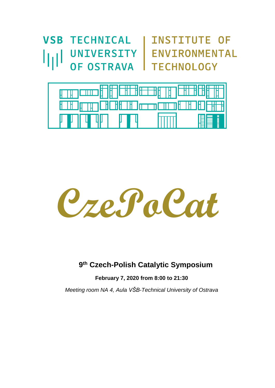**VSB TECHNICAL | INSTITUTE OF** ارزا OF OSTRAVA | TECHNOLOGY

UNIVERSITY | ENVIRONMENTAL





# **9 th Czech-Polish Catalytic Symposium**

**February 7, 2020 from 8:00 to 21:30** 

*Meeting room NA 4, Aula VŠB-Technical University of Ostrava*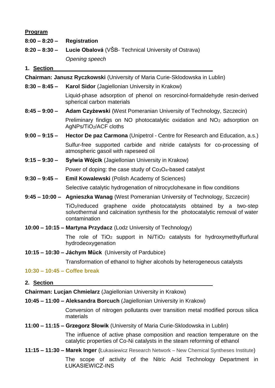## **Program**

| <b>Program</b>                                                                      |                                                                                                                                                                                   |
|-------------------------------------------------------------------------------------|-----------------------------------------------------------------------------------------------------------------------------------------------------------------------------------|
| $8:00 - 8:20 -$                                                                     | <b>Registration</b>                                                                                                                                                               |
| $8:20 - 8:30 -$                                                                     | Lucie Obalová (VŠB- Technical University of Ostrava)                                                                                                                              |
|                                                                                     | Opening speech                                                                                                                                                                    |
| 1. Section                                                                          |                                                                                                                                                                                   |
| <b>Chairman: Janusz Ryczkowski</b> (University of Maria Curie-Sklodowska in Lublin) |                                                                                                                                                                                   |
| $8:30 - 8:45 -$                                                                     | <b>Karol Sidor</b> (Jagiellonian University in Krakow)                                                                                                                            |
|                                                                                     | Liquid-phase adsorption of phenol on resorcinol-formaldehyde resin-derived<br>spherical carbon materials                                                                          |
| $8:45 - 9:00 -$                                                                     | <b>Adam Czyżewski</b> (West Pomeranian University of Technology, Szczecin)                                                                                                        |
|                                                                                     | Preliminary findigs on NO photocatalytic oxidation and NO <sub>2</sub> adsorption on<br>AgNPs/TiO2/ACF cloths                                                                     |
| $9:00 - 9:15 -$                                                                     | Hector De paz Carmona (Unipetrol - Centre for Research and Education, a.s.)                                                                                                       |
|                                                                                     | Sulfur-free supported carbide and nitride catalysts for co-processing of<br>atmospheric gasoil with rapeseed oil                                                                  |
| $9:15 - 9:30 -$                                                                     | Sylwia Wójcik (Jagiellonian University in Krakow)                                                                                                                                 |
|                                                                                     | Power of doping: the case study of Co <sub>3</sub> O <sub>4</sub> -based catalyst                                                                                                 |
| $9:30 - 9:45 -$                                                                     | <b>Emil Kowalewski</b> (Polish Academy of Sciences)                                                                                                                               |
|                                                                                     | Selective catalytic hydrogenation of nitrocyclohexane in flow conditions                                                                                                          |
|                                                                                     | 9:45 – 10:00 – Agnieszka Wanag (West Pomeranian University of Technology, Szczecin)                                                                                               |
|                                                                                     | TiO <sub>2</sub> /reduced graphene oxide photocatalysts obtained by a two-step<br>solvothermal and calcination synthesis for the photocatalytic removal of water<br>contamination |
| 10:00 - 10:15 - Martyna Przydacz (Lodz University of Technology)                    |                                                                                                                                                                                   |
|                                                                                     | The role of TiO <sub>2</sub> support in Ni/TiO <sub>2</sub> catalysts for hydroxymethylfurfural<br>hydrodeoxygenation                                                             |
| 10:15 - 10:30 - Jáchym Mück (University of Pardubice)                               |                                                                                                                                                                                   |
|                                                                                     | Transformation of ethanol to higher alcohols by heterogeneous catalysts                                                                                                           |
| $10:30 - 10:45 - \text{Coffee break}$                                               |                                                                                                                                                                                   |
| 2. Section                                                                          |                                                                                                                                                                                   |
| Chairman: Lucjan Chmielarz (Jagiellonian University in Krakow)                      |                                                                                                                                                                                   |
|                                                                                     |                                                                                                                                                                                   |

**10:45 – 11:00 – Aleksandra Borcuch** (Jagiellonian University in Krakow)

Conversion of nitrogen pollutants over transition metal modified porous silica materials

**11:00 – 11:15 – Grzegorz Słowik** (University of Maria Curie-Sklodowska in Lublin)

The influence of active phase composition and reaction temperature on the catalytic properties of Co-Ni catalysts in the steam reforming of ethanol

**11:15 – 11:30 – Marek Inger** (Łukasiewicz Research Network – New Chemical Syntheses Institute)

The scope of activity of the Nitric Acid Technology Department in ŁUKASIEWICZ-INS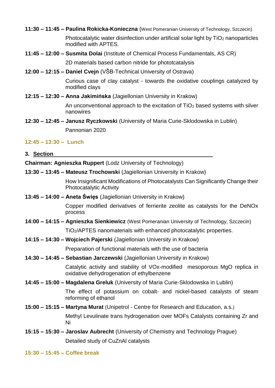- **11:30 – 11:45 – Paulina Rokicka-Konieczna** (West Pomeranian University of Technology, Szczecin) Photocatalytic water disinfection under artificial solar light by TiO<sub>2</sub> nanoparticles modified with APTES.
- **11:45 – 12:00 – Susmita Dolai** (Institute of Chemical Process Fundamentals, AS CR)

2D materials based carbon nitride for phototcatalysis

**12:00 – 12:15 – Daniel Cvejn** (VŠB-Technical University of Ostrava)

Curious case of clay catalyst - towards the oxidative couplings catalyzed by modified clays

**12:15 – 12:30 – Anna Jakimińska** (Jagiellonian University in Krakow)

An unconventional approach to the excitation of TiO<sup>2</sup> based systems with silver nanowires

**12:30 – 12:45 – Janusz Ryczkowski** (University of Maria Curie-Sklodowska in Lublin) Pannonian 2020

## **12:45 – 13:30 – Lunch**

#### **3. Section**

**Chairman: Agnieszka Ruppert** (Lodz University of Technology)

**13:30 – 13:45 – Mateusz Trochowski** (Jagiellonian University in Krakow)

How Insignificant Modifications of Photocatalysts Can Significantly Change their Photocatalytic Activity

**13:45 – 14:00 – Aneta Święs** (Jagiellonian University in Krakow)

Copper modified derivatives of ferrierite zeolite as catalysts for the DeNOx process

- **14:00 – 14:15 – Agnieszka Sienkiewicz** (West Pomeranian University of Technology, Szczecin) TiO2/APTES nanomaterials with enhanced photocatalytic properties.
- **14:15 – 14:30 – Wojciech Pajerski** (Jagiellonian University in Krakow)

Preparation of functional materials with the use of bacteria

**14:30 – 14:45 – Sebastian Jarczewski** (Jagiellonian University in Krakow)

Catalytic activity and stability of VOx-modified mesoporous MgO replica in oxidative dehydrogenation of ethylbenzene

**14:45 – 15:00 – Magdalena Greluk** (University of Maria Curie-Sklodowska in Lublin)

The effect of potassium on cobalt- and nickel-based catalysts of steam reforming of ethanol

**15:00 – 15:15 – Martyna Murat** (Unipetrol - Centre for Research and Education, a.s.)

Methyl Levulinate trans hydrogenation over MOFs Catalysts containing Zr and Ni

**15:15 – 15:30 – Jaroslav Aubrecht** (University of Chemistry and Technology Prague) Detailed study of CuZnAl catalysts

**15:30 – 15:45 – Coffee break**